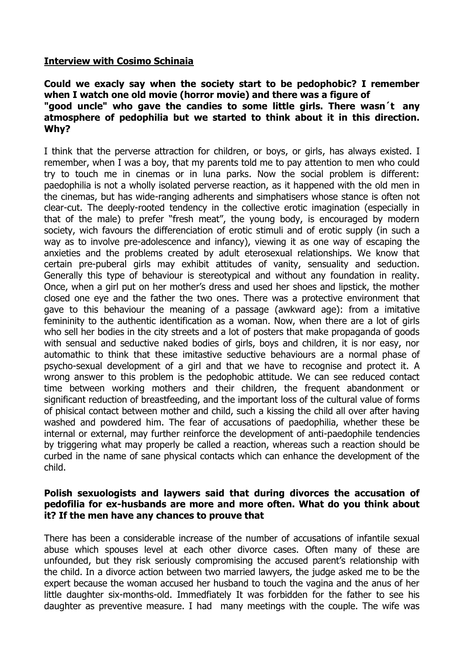## **Interview with Cosimo Schinaia**

## **Could we exacly say when the society start to be pedophobic? I remember when I watch one old movie (horror movie) and there was a figure of "good uncle" who gave the candies to some little girls. There wasn´t any atmosphere of pedophilia but we started to think about it in this direction. Why?**

I think that the perverse attraction for children, or boys, or girls, has always existed. I remember, when I was a boy, that my parents told me to pay attention to men who could try to touch me in cinemas or in luna parks. Now the social problem is different: paedophilia is not a wholly isolated perverse reaction, as it happened with the old men in the cinemas, but has wide-ranging adherents and simphatisers whose stance is often not clear-cut. The deeply-rooted tendency in the collective erotic imagination (especially in that of the male) to prefer "fresh meat", the young body, is encouraged by modern society, wich favours the differenciation of erotic stimuli and of erotic supply (in such a way as to involve pre-adolescence and infancy), viewing it as one way of escaping the anxieties and the problems created by adult eterosexual relationships. We know that certain pre-puberal girls may exhibit attitudes of vanity, sensuality and seduction. Generally this type of behaviour is stereotypical and without any foundation in reality. Once, when a girl put on her mother's dress and used her shoes and lipstick, the mother closed one eye and the father the two ones. There was a protective environment that gave to this behaviour the meaning of a passage (awkward age): from a imitative femininity to the authentic identification as a woman. Now, when there are a lot of girls who sell her bodies in the city streets and a lot of posters that make propaganda of goods with sensual and seductive naked bodies of girls, boys and children, it is nor easy, nor automathic to think that these imitastive seductive behaviours are a normal phase of psycho-sexual development of a girl and that we have to recognise and protect it. A wrong answer to this problem is the pedophobic attitude. We can see reduced contact time between working mothers and their children, the frequent abandonment or significant reduction of breastfeeding, and the important loss of the cultural value of forms of phisical contact between mother and child, such a kissing the child all over after having washed and powdered him. The fear of accusations of paedophilia, whether these be internal or external, may further reinforce the development of anti-paedophile tendencies by triggering what may properly be called a reaction, whereas such a reaction should be curbed in the name of sane physical contacts which can enhance the development of the child.

#### **Polish sexuologists and laywers said that during divorces the accusation of pedofilia for ex-husbands are more and more often. What do you think about it? If the men have any chances to prouve that**

There has been a considerable increase of the number of accusations of infantile sexual abuse which spouses level at each other divorce cases. Often many of these are unfounded, but they risk seriously compromising the accused parent's relationship with the child. In a divorce action between two married lawyers, the judge asked me to be the expert because the woman accused her husband to touch the vagina and the anus of her little daughter six-months-old. Immedfiately It was forbidden for the father to see his daughter as preventive measure. I had many meetings with the couple. The wife was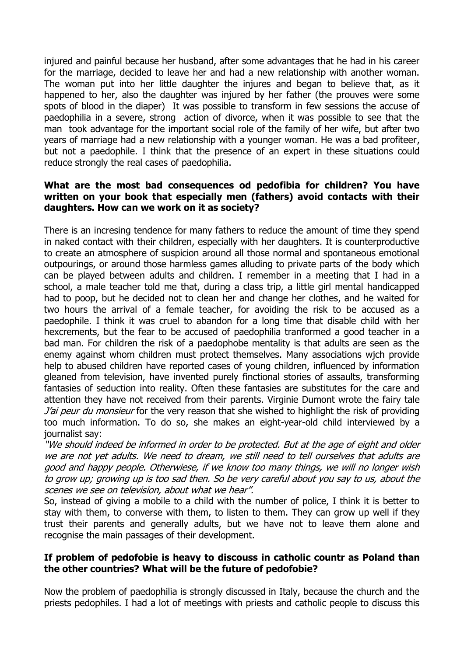injured and painful because her husband, after some advantages that he had in his career for the marriage, decided to leave her and had a new relationship with another woman. The woman put into her little daughter the injures and began to believe that, as it happened to her, also the daughter was injured by her father (the prouves were some spots of blood in the diaper) It was possible to transform in few sessions the accuse of paedophilia in a severe, strong action of divorce, when it was possible to see that the man took advantage for the important social role of the family of her wife, but after two years of marriage had a new relationship with a younger woman. He was a bad profiteer, but not a paedophile. I think that the presence of an expert in these situations could reduce strongly the real cases of paedophilia.

## **What are the most bad consequences od pedofibia for children? You have written on your book that especially men (fathers) avoid contacts with their daughters. How can we work on it as society?**

There is an incresing tendence for many fathers to reduce the amount of time they spend in naked contact with their children, especially with her daughters. It is counterproductive to create an atmosphere of suspicion around all those normal and spontaneous emotional outpourings, or around those harmless games alluding to private parts of the body which can be played between adults and children. I remember in a meeting that I had in a school, a male teacher told me that, during a class trip, a little girl mental handicapped had to poop, but he decided not to clean her and change her clothes, and he waited for two hours the arrival of a female teacher, for avoiding the risk to be accused as a paedophile. I think it was cruel to abandon for a long time that disable child with her hexcrements, but the fear to be accused of paedophilia tranformed a good teacher in a bad man. For children the risk of a paedophobe mentality is that adults are seen as the enemy against whom children must protect themselves. Many associations wjch provide help to abused children have reported cases of young children, influenced by information gleaned from television, have invented purely finctional stories of assaults, transforming fantasies of seduction into reality. Often these fantasies are substitutes for the care and attention they have not received from their parents. Virginie Dumont wrote the fairy tale J'ai peur du monsieur for the very reason that she wished to highlight the risk of providing too much information. To do so, she makes an eight-year-old child interviewed by a journalist say:

"We should indeed be informed in order to be protected. But at the age of eight and older we are not yet adults. We need to dream, we still need to tell ourselves that adults are good and happy people. Otherwiese, if we know too many things, we will no longer wish to grow up; growing up is too sad then. So be very careful about you say to us, about the scenes we see on television, about what we hear".

So, instead of giving a mobile to a child with the number of police, I think it is better to stay with them, to converse with them, to listen to them. They can grow up well if they trust their parents and generally adults, but we have not to leave them alone and recognise the main passages of their development.

# **If problem of pedofobie is heavy to discouss in catholic countr as Poland than the other countries? What will be the future of pedofobie?**

Now the problem of paedophilia is strongly discussed in Italy, because the church and the priests pedophiles. I had a lot of meetings with priests and catholic people to discuss this